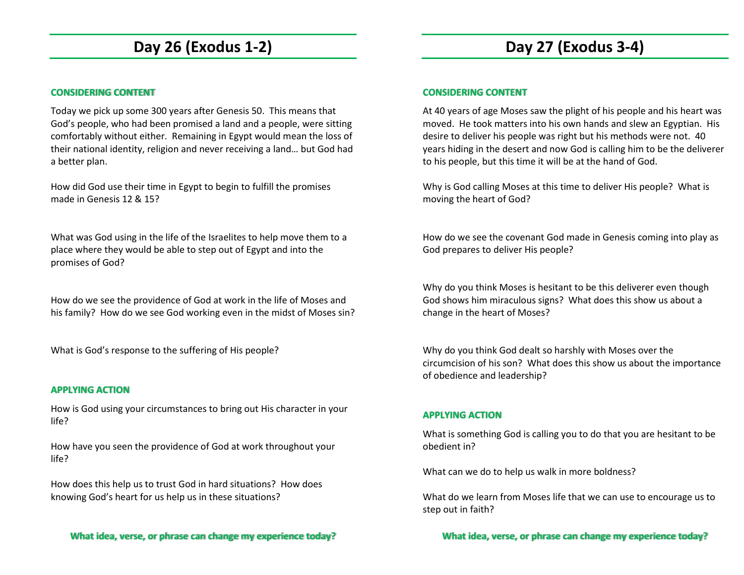# **Day 26 (Exodus 1-2)**

### **CONSIDERING CONTENT**

Today we pick up some 300 years after Genesis 50. This means that God's people, who had been promised a land and a people, were sitting comfortably without either. Remaining in Egypt would mean the loss of their national identity, religion and never receiving a land… but God had a better plan.

How did God use their time in Egypt to begin to fulfill the promises made in Genesis 12 & 15?

What was God using in the life of the Israelites to help move them to a place where they would be able to step out of Egypt and into the promises of God?

How do we see the providence of God at work in the life of Moses and his family? How do we see God working even in the midst of Moses sin?

What is God's response to the suffering of His people?

### **APPLYING ACTION**

How is God using your circumstances to bring out His character in your life?

How have you seen the providence of God at work throughout your life?

How does this help us to trust God in hard situations? How does knowing God's heart for us help us in these situations?

# **Day 27 (Exodus 3-4)**

### **CONSIDERING CONTENT**

At 40 years of age Moses saw the plight of his people and his heart was moved. He took matters into his own hands and slew an Egyptian. His desire to deliver his people was right but his methods were not. 40 years hiding in the desert and now God is calling him to be the deliverer to his people, but this time it will be at the hand of God.

Why is God calling Moses at this time to deliver His people? What is moving the heart of God?

How do we see the covenant God made in Genesis coming into play as God prepares to deliver His people?

Why do you think Moses is hesitant to be this deliverer even though God shows him miraculous signs? What does this show us about a change in the heart of Moses?

Why do you think God dealt so harshly with Moses over the circumcision of his son? What does this show us about the importance of obedience and leadership?

## **APPLYING ACTION**

What is something God is calling you to do that you are hesitant to be obedient in?

What can we do to help us walk in more boldness?

What do we learn from Moses life that we can use to encourage us to step out in faith?

**What idea, verse, or phrase can change my experience today?**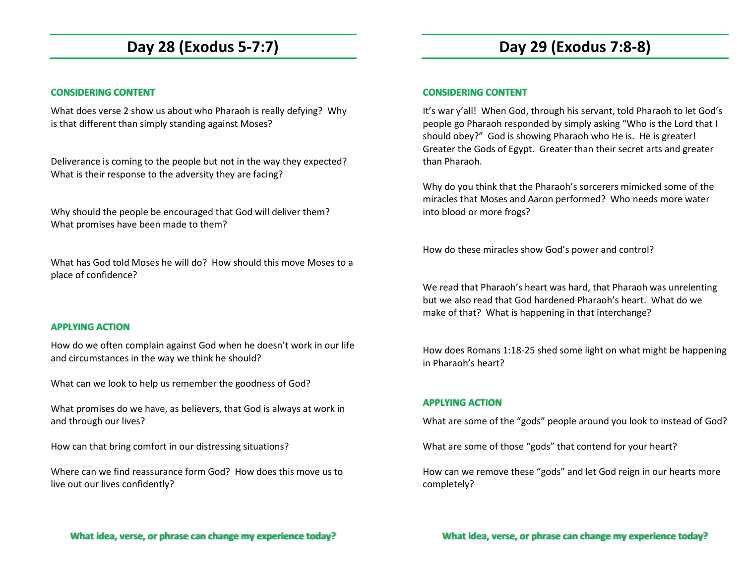# **Day 28 (Exodus 5-7:7)**

## **CONSIDERING CONTENT**

What does verse 2 show us about who Pharaoh is really defying? Why is that different than simply standing against Moses?

Deliverance is coming to the people but not in the way they expected? What is their response to the adversity they are facing?

Why should the people be encouraged that God will deliver them? What promises have been made to them?

What has God told Moses he will do? How should this move Moses to a place of confidence?

### **APPLYING ACTION**

How do we often complain against God when he doesn't work in our life and circumstances in the way we think he should?

What can we look to help us remember the goodness of God?

What promises do we have, as believers, that God is always at work in and through our lives?

How can that bring comfort in our distressing situations?

Where can we find reassurance form God? How does this move us to live out our lives confidently?

**What idea, verse, or phrase can change my experience today?**

## **Day 29 (Exodus 7:8-8)**

#### **CONSIDERING CONTENT**

It's war y'all! When God, through his servant, told Pharaoh to let God's people go Pharaoh responded by simply asking "Who is the Lord that I should obey?" God is showing Pharaoh who He is. He is greater! Greater the Gods of Egypt. Greater than their secret arts and greater than Pharaoh.

Why do you think that the Pharaoh's sorcerers mimicked some of the miracles that Moses and Aaron performed? Who needs more water into blood or more frogs?

How do these miracles show God's power and control?

We read that Pharaoh's heart was hard, that Pharaoh was unrelenting but we also read that God hardened Pharaoh's heart. What do we make of that? What is happening in that interchange?

How does Romans 1:18-25 shed some light on what might be happening in Pharaoh's heart?

### **APPLYING ACTION**

What are some of the "gods" people around you look to instead of God?

What are some of those "gods" that contend for your heart?

How can we remove these "gods" and let God reign in our hearts more completely?

**What idea, verse, or phrase can change my experience today?**